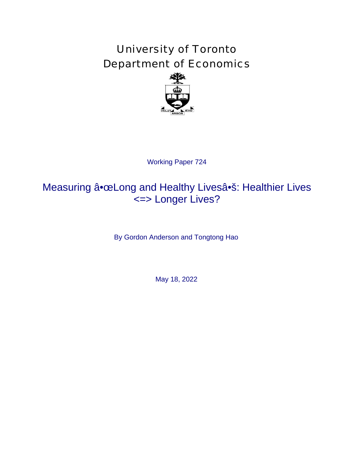# University of Toronto Department of Economics



# Working Paper 724<br>
2001 Healthy Live<br>
2001 Denderson and Ton<br>
2022 May 18, 2022 Measuring a<sup>•</sup>ceLong and Healthy Livesa<sup>•</sup> S: Healthier Lives <=> Longer Lives?

By Gordon Anderson and Tongtong Hao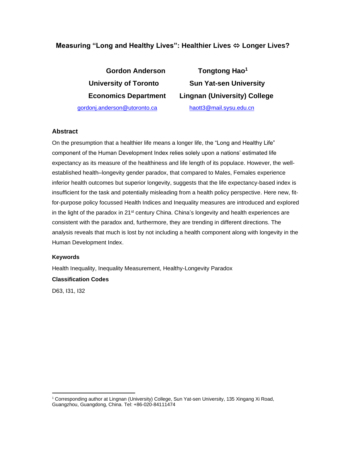### **Measuring "Long and Healthy Lives": Healthier Lives ⇔ Longer Lives?**

**Gordon Anderson Tongtong Hao<sup>1</sup> University of Toronto Sun Yat-sen University Economics Department Lingnan (University) College**

[gordonj.anderson@utoronto.ca](mailto:gordonj.anderson@utoronto.ca) [haott3@mail.sysu.edu.cn](mailto:haott3@mail.sysu.edu.cn)

#### **Abstract**

On the presumption that a healthier life means a longer life, the "Long and Healthy Life" component of the Human Development Index relies solely upon a nations' estimated life expectancy as its measure of the healthiness and life length of its populace. However, the wellestablished health–longevity gender paradox, that compared to Males, Females experience inferior health outcomes but superior longevity, suggests that the life expectancy-based index is insufficient for the task and potentially misleading from a health policy perspective. Here new, fitfor-purpose policy focussed Health Indices and Inequality measures are introduced and explored in the light of the paradox in  $21^{st}$  century China. China's longevity and health experiences are consistent with the paradox and, furthermore, they are trending in different directions. The analysis reveals that much is lost by not including a health component along with longevity in the Human Development Index.

#### **Keywords**

Health Inequality, Inequality Measurement, Healthy-Longevity Paradox

#### **Classification Codes**

D63, I31, I32

<sup>1</sup> Corresponding author at Lingnan (University) College, Sun Yat-sen University, 135 Xingang Xi Road, Guangzhou, Guangdong, China. Tel: +86-020-84111474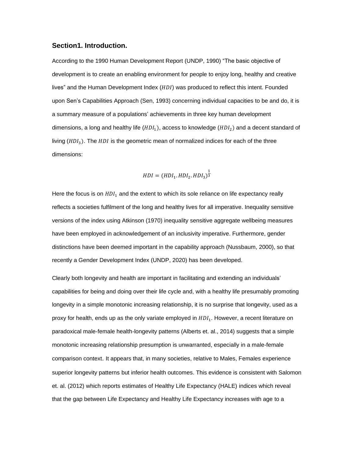#### **Section1. Introduction.**

According to the 1990 Human Development Report (UNDP, 1990) "The basic objective of development is to create an enabling environment for people to enjoy long, healthy and creative lives" and the Human Development Index  $(HDI)$  was produced to reflect this intent. Founded upon Sen's Capabilities Approach (Sen, 1993) concerning individual capacities to be and do, it is a summary measure of a populations' achievements in three key human development dimensions, a long and healthy life  $(HDI<sub>1</sub>)$ , access to knowledge  $(HDI<sub>2</sub>)$  and a decent standard of living  $(HDI<sub>3</sub>)$ . The HDI is the geometric mean of normalized indices for each of the three dimensions:

$$
HDI = (HDI_1, HDI_2, HDI_3)^{\frac{1}{3}}
$$

Here the focus is on  $HDI<sub>1</sub>$  and the extent to which its sole reliance on life expectancy really reflects a societies fulfilment of the long and healthy lives for all imperative. Inequality sensitive versions of the index using Atkinson (1970) inequality sensitive aggregate wellbeing measures have been employed in acknowledgement of an inclusivity imperative. Furthermore, gender distinctions have been deemed important in the capability approach (Nussbaum, 2000), so that recently a Gender Development Index (UNDP, 2020) has been developed.

Clearly both longevity and health are important in facilitating and extending an individuals' capabilities for being and doing over their life cycle and, with a healthy life presumably promoting longevity in a simple monotonic increasing relationship, it is no surprise that longevity, used as a proxy for health, ends up as the only variate employed in  $HDI_1$ . However, a recent literature on paradoxical male-female health-longevity patterns (Alberts et. al., 2014) suggests that a simple monotonic increasing relationship presumption is unwarranted, especially in a male-female comparison context. It appears that, in many societies, relative to Males, Females experience superior longevity patterns but inferior health outcomes. This evidence is consistent with Salomon et. al. (2012) which reports estimates of Healthy Life Expectancy (HALE) indices which reveal that the gap between Life Expectancy and Healthy Life Expectancy increases with age to a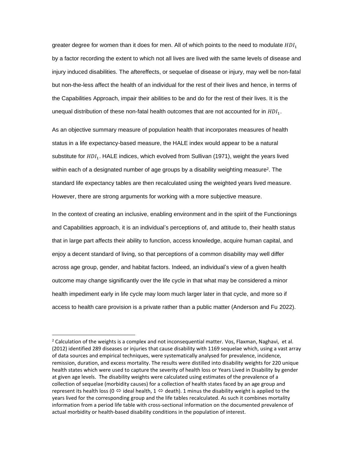greater degree for women than it does for men. All of which points to the need to modulate  $HDI<sub>1</sub>$ by a factor recording the extent to which not all lives are lived with the same levels of disease and injury induced disabilities. The aftereffects, or sequelae of disease or injury, may well be non-fatal but non-the-less affect the health of an individual for the rest of their lives and hence, in terms of the Capabilities Approach, impair their abilities to be and do for the rest of their lives. It is the unequal distribution of these non-fatal health outcomes that are not accounted for in  $HDI<sub>1</sub>$ .

As an objective summary measure of population health that incorporates measures of health status in a life expectancy-based measure, the HALE index would appear to be a natural substitute for  $HDI_1$ . HALE indices, which evolved from Sullivan (1971), weight the years lived within each of a designated number of age groups by a disability weighting measure<sup>2</sup>. The standard life expectancy tables are then recalculated using the weighted years lived measure. However, there are strong arguments for working with a more subjective measure.

In the context of creating an inclusive, enabling environment and in the spirit of the Functionings and Capabilities approach, it is an individual's perceptions of, and attitude to, their health status that in large part affects their ability to function, access knowledge, acquire human capital, and enjoy a decent standard of living, so that perceptions of a common disability may well differ across age group, gender, and habitat factors. Indeed, an individual's view of a given health outcome may change significantly over the life cycle in that what may be considered a minor health impediment early in life cycle may loom much larger later in that cycle, and more so if access to health care provision is a private rather than a public matter (Anderson and Fu 2022).

<sup>&</sup>lt;sup>2</sup> Calculation of the weights is a complex and not inconsequential matter. Vos, Flaxman, Naghavi, et al. (2012) identified 289 diseases or injuries that cause disability with 1169 sequelae which, using a vast array of data sources and empirical techniques, were systematically analysed for prevalence, incidence, remission, duration, and excess mortality. The results were distilled into disability weights for 220 unique health states which were used to capture the severity of health loss or Years Lived in Disability by gender at given age levels. The disability weights were calculated using estimates of the prevalence of a collection of sequelae (morbidity causes) for a collection of health states faced by an age group and represent its health loss (0  $\Leftrightarrow$  ideal health, 1  $\Leftrightarrow$  death). 1 minus the disability weight is applied to the years lived for the corresponding group and the life tables recalculated. As such it combines mortality information from a period life table with cross-sectional information on the documented prevalence of actual morbidity or health-based disability conditions in the population of interest.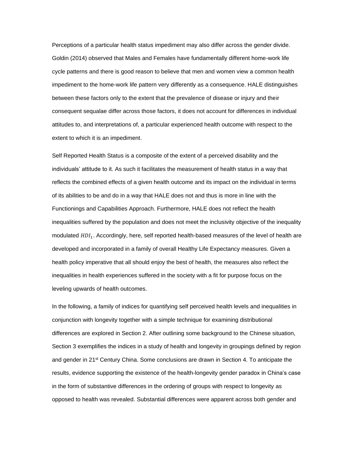Perceptions of a particular health status impediment may also differ across the gender divide. Goldin (2014) observed that Males and Females have fundamentally different home-work life cycle patterns and there is good reason to believe that men and women view a common health impediment to the home-work life pattern very differently as a consequence. HALE distinguishes between these factors only to the extent that the prevalence of disease or injury and their consequent sequalae differ across those factors, it does not account for differences in individual attitudes to, and interpretations of, a particular experienced health outcome with respect to the extent to which it is an impediment.

Self Reported Health Status is a composite of the extent of a perceived disability and the individuals' attitude to it. As such it facilitates the measurement of health status in a way that reflects the combined effects of a given health outcome and its impact on the individual in terms of its abilities to be and do in a way that HALE does not and thus is more in line with the Functionings and Capabilities Approach. Furthermore, HALE does not reflect the health inequalities suffered by the population and does not meet the inclusivity objective of the inequality modulated  $HDI_1$ . Accordingly, here, self reported health-based measures of the level of health are developed and incorporated in a family of overall Healthy Life Expectancy measures. Given a health policy imperative that all should enjoy the best of health, the measures also reflect the inequalities in health experiences suffered in the society with a fit for purpose focus on the leveling upwards of health outcomes.

In the following, a family of indices for quantifying self perceived health levels and inequalities in conjunction with longevity together with a simple technique for examining distributional differences are explored in Section 2. After outlining some background to the Chinese situation, Section 3 exemplifies the indices in a study of health and longevity in groupings defined by region and gender in 21<sup>st</sup> Century China. Some conclusions are drawn in Section 4. To anticipate the results, evidence supporting the existence of the health-longevity gender paradox in China's case in the form of substantive differences in the ordering of groups with respect to longevity as opposed to health was revealed. Substantial differences were apparent across both gender and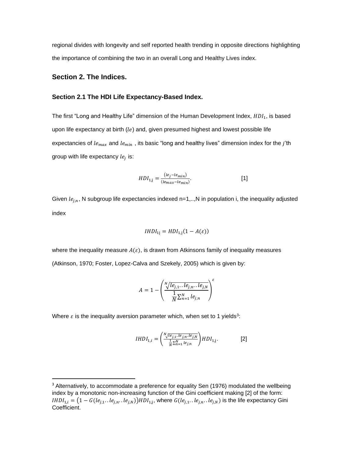regional divides with longevity and self reported health trending in opposite directions highlighting the importance of combining the two in an overall Long and Healthy Lives index.

#### **Section 2. The Indices.**

#### **Section 2.1 The HDI Life Expectancy-Based Index.**

The first "Long and Healthy Life" dimension of the Human Development Index,  $\mathit{HDI}_1$ , is based upon life expectancy at birth  $(le)$  and, given presumed highest and lowest possible life expectancies of  $le_{max}$  and  $le_{min}$ , its basic "long and healthy lives" dimension index for the *j*'th group with life expectancy  $le_j$  is:

$$
HDI_{1,j} = \frac{(le_j - le_{min})}{(le_{max} - le_{min})}.
$$

Given  $le_{j,n}$ , N subgroup life expectancies indexed n=1,..,N in population i, the inequality adjusted index

$$
IHDI_{1j} = HDI_{1,j}(1 - A(\varepsilon))
$$

where the inequality measure  $A(\varepsilon)$ , is drawn from Atkinsons family of inequality measures (Atkinson, 1970; Foster, Lopez-Calva and Szekely, 2005) which is given by:

$$
A = 1 - \left(\frac{\sqrt[N]{le_{j,1}...le_{j,n}...le_{j,N}}}{\sqrt[N]{\sum_{n=1}^{N}le_{j,n}}}\right)^{\varepsilon}
$$

Where  $\varepsilon$  is the inequality aversion parameter which, when set to 1 yields<sup>3</sup>:

$$
IHDI_{1,i} = \left(\frac{\frac{N\sqrt{le_{j,1}..le_{j,n}..le_{j,N}}}{\frac{1}{N}\sum_{n=1}^{N}le_{j,n}}\right)HDI_{1,j}.
$$
 [2]

 $3$  Alternatively, to accommodate a preference for equality Sen (1976) modulated the wellbeing index by a monotonic non-increasing function of the Gini coefficient making [2] of the form:  $HDI_{1,i} = (1-G(le_{j,1}...le_{j,n}...le_{j,N})) HDI_{1,j},$  where  $G(le_{j,1}...le_{j,n}...le_{j,N})$  is the life expectancy Gini Coefficient.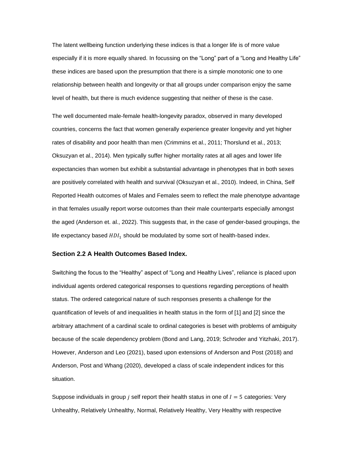The latent wellbeing function underlying these indices is that a longer life is of more value especially if it is more equally shared. In focussing on the "Long" part of a "Long and Healthy Life" these indices are based upon the presumption that there is a simple monotonic one to one relationship between health and longevity or that all groups under comparison enjoy the same level of health, but there is much evidence suggesting that neither of these is the case.

The well documented male-female health-longevity paradox, observed in many developed countries, concerns the fact that women generally experience greater longevity and yet higher rates of disability and poor health than men (Crimmins et al., 2011; Thorslund et al., 2013; Oksuzyan et al., 2014). Men typically suffer higher mortality rates at all ages and lower life expectancies than women but exhibit a substantial advantage in phenotypes that in both sexes are positively correlated with health and survival (Oksuzyan et al., 2010). Indeed, in China, Self Reported Health outcomes of Males and Females seem to reflect the male phenotype advantage in that females usually report worse outcomes than their male counterparts especially amongst the aged (Anderson et. al., 2022). This suggests that, in the case of gender-based groupings, the life expectancy based  $HDI<sub>1</sub>$  should be modulated by some sort of health-based index.

#### **Section 2.2 A Health Outcomes Based Index.**

Switching the focus to the "Healthy" aspect of "Long and Healthy Lives", reliance is placed upon individual agents ordered categorical responses to questions regarding perceptions of health status. The ordered categorical nature of such responses presents a challenge for the quantification of levels of and inequalities in health status in the form of [1] and [2] since the arbitrary attachment of a cardinal scale to ordinal categories is beset with problems of ambiguity because of the scale dependency problem (Bond and Lang, 2019; Schroder and Yitzhaki, 2017). However, Anderson and Leo (2021), based upon extensions of Anderson and Post (2018) and Anderson, Post and Whang (2020), developed a class of scale independent indices for this situation.

Suppose individuals in group *j* self report their health status in one of  $I = 5$  categories: Very Unhealthy, Relatively Unhealthy, Normal, Relatively Healthy, Very Healthy with respective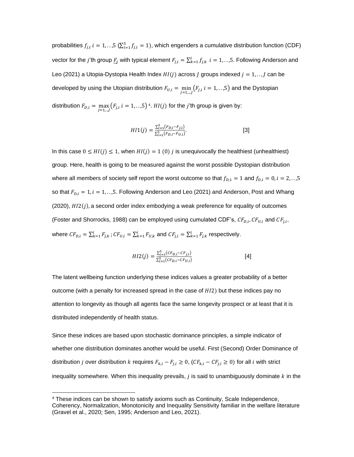probabilities  $f_{j,i}$   $i=1,..,5$  ( $\sum_{i=1}^5 f_{j,i}=1)$ , which engenders a cumulative distribution function (CDF) vector for the  $j$ 'th group  $\underline{F}_j$  with typical element  $F_{j,i}=\sum_{k=1}^i f_{j,k}$   $i=1,\dots,5.$  Following Anderson and Leo (2021) a Utopia-Dystopia Health Index  $HI(j)$  across *J* groups indexed  $j = 1, \ldots, J$  can be developed by using the Utopian distribution  $F_{U,i} = \min\limits_{j=1,..,J} (F_{j,i} \; i=1,..,5)$  and the Dystopian distribution  $F_{D,i} = \max\limits_{j=1,..,J} \bigl( F_{j,i} \ i=1,..,5 \bigr)$   $^4.$   $HI(j)$  for the  $j$ 'th group is given by:

$$
HI(j) = \frac{\sum_{i=1}^{5} (F_{D,i} - F_{j,i})}{\sum_{i=1}^{5} (F_{D,i} - F_{U,i})}.
$$
 [3]

In this case  $0 \leq HI(j) \leq 1$ , when  $HI(j) = 1$  (0) is unequivocally the healthiest (unhealthiest) group. Here, health is going to be measured against the worst possible Dystopian distribution where all members of society self report the worst outcome so that  $f_{D,1} = 1$  and  $f_{D,i} = 0, i = 2, \ldots, 5$ so that  $F_{D,i} = 1, i = 1, \ldots, 5$ . Following Anderson and Leo (2021) and Anderson, Post and Whang  $(2020)$ ,  $HI2(j)$ , a second order index embodying a weak preference for equality of outcomes (Foster and Shorrocks, 1988) can be employed using cumulated CDF's,  $CF_{D,i}$ ,  $CF_{U,i}$  and  $CF_{j,i}$ , where  $CF_{D,i} = \sum_{k=1}^i F_{j,k}$  ;  $CF_{U,i} = \sum_{k=1}^i F_{U,k}$  and  $CF_{j,i} = \sum_{k=1}^i F_{j,k}$  respectively.

$$
H12(j) = \frac{\sum_{i=1}^{5} (CF_{D,i} - CF_{j,i})}{\sum_{i=1}^{5} (CF_{D,i} - CF_{U,i})}
$$
 [4]

The latent wellbeing function underlying these indices values a greater probability of a better outcome (with a penalty for increased spread in the case of  $HI2$ ) but these indices pay no attention to longevity as though all agents face the same longevity prospect or at least that it is distributed independently of health status.

Since these indices are based upon stochastic dominance principles, a simple indicator of whether one distribution dominates another would be useful. First (Second) Order Dominance of distribution *j* over distribution *k* requires  $F_{k,i} - F_{j,i} \geq 0$ , ( $CF_{k,i} - CF_{j,i} \geq 0$ ) for all *i* with strict inequality somewhere. When this inequality prevails,  *is said to unambiguously dominate*  $*k*$  *in the* 

<sup>4</sup> These indices can be shown to satisfy axioms such as Continuity, Scale Independence, Coherency, Normalization, Monotonicity and Inequality Sensitivity familiar in the welfare literature (Gravel et al., 2020; Sen, 1995; Anderson and Leo, 2021).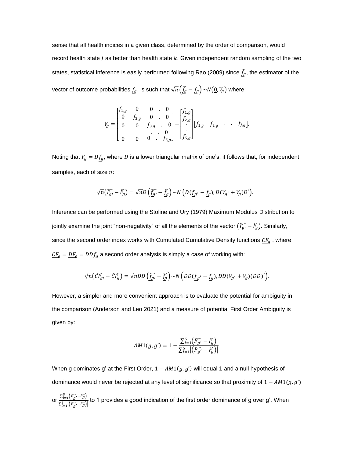sense that all health indices in a given class, determined by the order of comparison, would record health state  $i$  as better than health state  $k$ . Given independent random sampling of the two states, statistical inference is easily performed following Rao (2009) since  $\widehat{f}_g$ , the estimator of the vector of outcome probabilities  $f_g$ , is such that  $\sqrt{n}\left(\widehat{f}_g-f_g\right){\sim}N(\underline{0},V_g)$  where:

$$
V_g = \begin{bmatrix} f_{1,g} & 0 & 0 & 0 \\ 0 & f_{2,g} & 0 & 0 \\ 0 & 0 & f_{3,g} & 0 \\ \vdots & \vdots & \ddots & \vdots \\ 0 & 0 & 0 & f_{5,g} \end{bmatrix} - \begin{bmatrix} f_{1,g} \\ f_{2,g} \\ \vdots \\ f_{5,g} \end{bmatrix} [f_{1,g} \quad f_{2,g} \quad \ldots \quad f_{J,g}].
$$

Noting that  $\underline{F}_g = D \underline{f}_g$ , where D is a lower triangular matrix of one's, it follows that, for independent samples, each of size  $n$ :

$$
\sqrt{n}\left(\widehat{F_{g'}}-\widehat{F}_{g}\right)=\sqrt{n}D\left(\widehat{f_{g'}}-\widehat{f}_{g}\right)\sim N\left(D(f_{g'}-f_{g}),D(V_{g'}+V_{g})D'\right).
$$

Inference can be performed using the Stoline and Ury (1979) Maximum Modulus Distribution to jointly examine the joint "non-negativity" of all the elements of the vector  $(\widehat{F_{g\prime}}-\widehat{F_{g}}).$  Similarly, since the second order index works with Cumulated Cumulative Density functions  $\underline{CF}_g$ , where  $\underline{CF}_g = \underline{DF}_g = DD \underline{f}_g$  a second order analysis is simply a case of working with:

$$
\sqrt{n}\big(\widehat{CF}_{g'}-\widehat{CF}_g\big)=\sqrt{n}DD\left(\widehat{f_{g'}}-\widehat{f_g}\right)\sim N\left(DD(f_{g'}-f_g),DD(V_{g'}+V_g)(DD)'\right).
$$

However, a simpler and more convenient approach is to evaluate the potential for ambiguity in the comparison (Anderson and Leo 2021) and a measure of potential First Order Ambiguity is given by:

$$
AM1(g, g') = 1 - \frac{\sum_{i=1}^{5} (\widehat{F_{g'}} - \widehat{F}_{g})}{\sum_{i=1}^{5} |(\widehat{F_{g'}} - \widehat{F}_{g})|}
$$

When g dominates g' at the First Order,  $1 - AM1(g, g')$  will equal 1 and a null hypothesis of dominance would never be rejected at any level of significance so that proximity of  $1 - AM1(g, g')$ 

or  $\frac{\sum_{i=1}^{5} (F_g - F_g)}{\sum_{i=1}^{5} (\widehat{f_g} - \widehat{f}_g)}$  $\frac{2(1-1)(5j'-9j')}{2(5-1)(F_g-f_g)}$  to 1 provides a good indication of the first order dominance of g over g'. When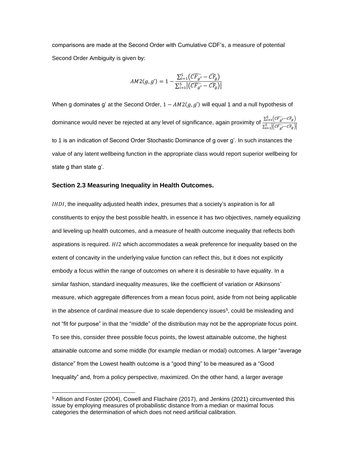comparisons are made at the Second Order with Cumulative CDF's, a measure of potential Second Order Ambiguity is given by:

$$
AM2(g, g') = 1 - \frac{\sum_{i=1}^{5} (\overline{CF}_{g'} - \overline{CF}_{g})}{\sum_{i=1}^{5} |(\overline{CF}_{g'} - \overline{CF}_{g})|}
$$

When g dominates g' at the Second Order,  $1 - AM2(g, g')$  will equal 1 and a null hypothesis of dominance would never be rejected at any level of significance, again proximity of  $\frac{\sum_{i=1}^{5}(\bar{CF}_{g'}-\bar{CF}_{g})}{\sqrt{2\pi\sigma_{g}(\bar{CF}_{g'})}}$  $\sum_{i=1}^{5} |(\widehat{CF_g} - \widehat{CF_g})|$ to 1 is an indication of Second Order Stochastic Dominance of g over g'. In such instances the value of any latent wellbeing function in the appropriate class would report superior wellbeing for state g than state g'.

#### **Section 2.3 Measuring Inequality in Health Outcomes.**

 $IHDI$ , the inequality adjusted health index, presumes that a society's aspiration is for all constituents to enjoy the best possible health, in essence it has two objectives, namely equalizing and leveling up health outcomes, and a measure of health outcome inequality that reflects both aspirations is required. HI2 which accommodates a weak preference for inequality based on the extent of concavity in the underlying value function can reflect this, but it does not explicitly embody a focus within the range of outcomes on where it is desirable to have equality. In a similar fashion, standard inequality measures, like the coefficient of variation or Atkinsons' measure, which aggregate differences from a mean focus point, aside from not being applicable in the absence of cardinal measure due to scale dependency issues<sup>5</sup>, could be misleading and not "fit for purpose" in that the "middle" of the distribution may not be the appropriate focus point. To see this, consider three possible focus points, the lowest attainable outcome, the highest attainable outcome and some middle (for example median or modal) outcomes. A larger "average distance" from the Lowest health outcome is a "good thing" to be measured as a "Good Inequality" and, from a policy perspective, maximized. On the other hand, a larger average

<sup>5</sup> Allison and Foster (2004), Cowell and Flachaire (2017), and Jenkins (2021) circumvented this issue by employing measures of probabilistic distance from a median or maximal focus categories the determination of which does not need artificial calibration.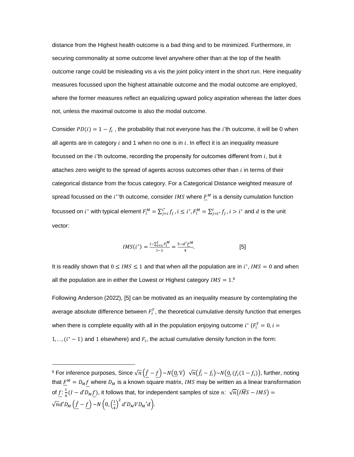distance from the Highest health outcome is a bad thing and to be minimized. Furthermore, in securing commonality at some outcome level anywhere other than at the top of the health outcome range could be misleading vis a vis the joint policy intent in the short run. Here inequality measures focussed upon the highest attainable outcome and the modal outcome are employed, where the former measures reflect an equalizing upward policy aspiration whereas the latter does not, unless the maximal outcome is also the modal outcome.

Consider  $PD(i) = 1 - f_i$ , the probability that not everyone has the *i*'th outcome, it will be 0 when all agents are in category  $i$  and 1 when no one is in  $i$ . In effect it is an inequality measure focussed on the  $i'$ th outcome, recording the propensity for outcomes different from  $i$ , but it attaches zero weight to the spread of agents across outcomes other than  $i$  in terms of their categorical distance from the focus category. For a Categorical Distance weighted measure of spread focussed on the  $i^*$ 'th outcome, consider IMS where  $F^M$  is a density cumulation function focussed on  $i^*$  with typical element  $F_i^M = \sum_{j=i}^{i^*} f_j$  $i^*_{j=i} f_j$  ,  $i \leq i^*$ ,  $F_i^M = \sum_{j=i^*}^I f_j$  ,  $i > i^*$  and  $d$  is the unit vector:

$$
IMS(i^*) = \frac{I - \sum_{i=1}^{I} F_i^M}{I - 1} = \frac{5 - d' \underline{F}^M}{4}.
$$
 [5]

It is readily shown that  $0 \leq IMS \leq 1$  and that when all the population are in  $i^*$ ,  $IMS = 0$  and when all the population are in either the Lowest or Highest category  $IMS = 1.6$ 

Following Anderson (2022), [5] can be motivated as an inequality measure by contemplating the average absolute difference between  $F_i^T$ , the theoretical cumulative density function that emerges when there is complete equality with all in the population enjoying outcome  $i^*$  ( $F_i^T=0$ ,  $i=$ 1, ..,  $(i^* - 1)$  and 1 elsewhere) and  $F_i$ , the actual cumulative density function in the form:

 $^6$  For inference purposes, Since  $\sqrt{n}\big(\hat{f}-f\big)\sim N(\underline{0},\mathrm{V})$   $\sqrt{n}(\hat{f}_i-f_i){\sim}N(\underline{0},(f_i(1-f_i)),$  further, noting that  $\underline{F}^M = D_M f$  where  $D_M$  is a known square matrix, *IMS* may be written as a linear transformation of  $f$  :  $\frac{1}{4}$  $\frac{1}{4}(I - d'D_M \underline{f})$ , it follows that, for independent samples of size  $n: \sqrt{n}(I\widehat{MS} - IMS) =$  $\sqrt{n}d'D_M(\hat{f} - f) \sim N(0, (\frac{1}{4}))$  $\frac{1}{4}$  $\int_0^2 d'D_M V D_M' d$ .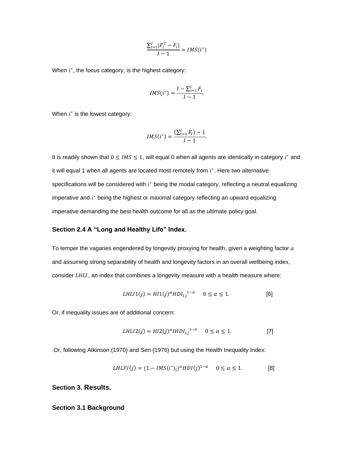$$
\frac{\sum_{i=1}^{I} |F_i^T - F_i|}{I - 1} = IMS(i^*)
$$

When  $i^*$ , the focus category, is the highest category:

$$
IMS(i^*) = \frac{I - \sum_{i=1}^{I} F_i}{I - 1}.
$$

When  $i^*$  is the lowest category:

$$
IMS(i^*) = \frac{(\sum_{i=1}^{I} F_i) - 1}{I - 1}.
$$

It is readily shown that  $0 \leq IMS \leq 1$ , will equal 0 when all agents are identically in category  $i^*$  and it will equal 1 when all agents are located most remotely from  $i^*$ . Here two alternative specifications will be considered with  $i^*$  being the modal category, reflecting a neutral equalizing imperative and  $i^*$  being the highest or maximal category reflecting an upward equalizing imperative demanding the best health outcome for all as the ultimate policy goal.

#### **Section 2.4 A "Long and Healthy Life" Index.**

To temper the vagaries engendered by longevity proxying for health, given a weighting factor  $\alpha$ and assuming strong separability of health and longevity factors in an overall wellbeing index, consider LHLI, an index that combines a longevity measure with a health measure where:

$$
LHLI1(j) = HI1(j)^{\alpha} HDI_{1,j}^{1-\alpha} \quad 0 \le \alpha \le 1.
$$
 [6]

Or, if inequality issues are of additional concern:

$$
LHLI2(j) = HI2(j)^{\alpha}IHDI_{1,j}^{1-\alpha} \quad 0 \le \alpha \le 1. \tag{7}
$$

Or, following Atkinson (1970) and Sen (1976) but using the Health Inequality Index:

$$
LHLFI(j) = (1 - IMS(i^*))^{\alpha} HDI(j)^{1-\alpha} \quad 0 \le \alpha \le 1.
$$
 [8]

**Section 3. Results.**

**Section 3.1 Background**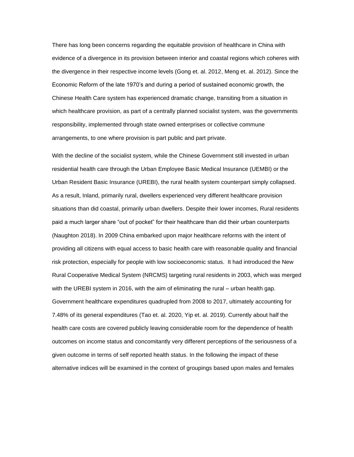There has long been concerns regarding the equitable provision of healthcare in China with evidence of a divergence in its provision between interior and coastal regions which coheres with the divergence in their respective income levels (Gong et. al. 2012, Meng et. al. 2012). Since the Economic Reform of the late 1970's and during a period of sustained economic growth, the Chinese Health Care system has experienced dramatic change, transiting from a situation in which healthcare provision, as part of a centrally planned socialist system, was the governments responsibility, implemented through state owned enterprises or collective commune arrangements, to one where provision is part public and part private.

With the decline of the socialist system, while the Chinese Government still invested in urban residential health care through the Urban Employee Basic Medical Insurance (UEMBI) or the Urban Resident Basic Insurance (UREBI), the rural health system counterpart simply collapsed. As a result, Inland, primarily rural, dwellers experienced very different healthcare provision situations than did coastal, primarily urban dwellers. Despite their lower incomes, Rural residents paid a much larger share "out of pocket" for their healthcare than did their urban counterparts (Naughton 2018). In 2009 China embarked upon major healthcare reforms with the intent of providing all citizens with equal access to basic health care with reasonable quality and financial risk protection, especially for people with low socioeconomic status. It had introduced the New Rural Cooperative Medical System (NRCMS) targeting rural residents in 2003, which was merged with the UREBI system in 2016, with the aim of eliminating the rural – urban health gap. Government healthcare expenditures quadrupled from 2008 to 2017, ultimately accounting for 7.48% of its general expenditures (Tao et. al. 2020, Yip et. al. 2019). Currently about half the health care costs are covered publicly leaving considerable room for the dependence of health outcomes on income status and concomitantly very different perceptions of the seriousness of a given outcome in terms of self reported health status. In the following the impact of these alternative indices will be examined in the context of groupings based upon males and females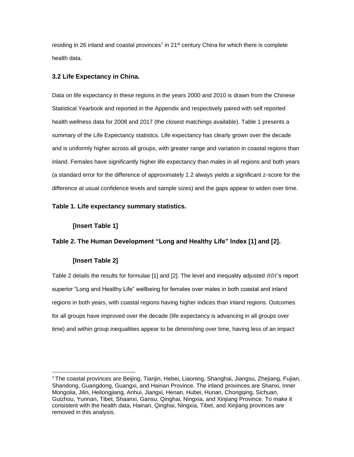residing in 26 inland and coastal provinces<sup>7</sup> in 21<sup>st</sup> century China for which there is complete health data.

#### **3.2 Life Expectancy in China.**

Data on life expectancy in these regions in the years 2000 and 2010 is drawn from the Chinese Statistical Yearbook and reported in the Appendix and respectively paired with self reported health wellness data for 2008 and 2017 (the closest matchings available). Table 1 presents a summary of the Life Expectancy statistics. Life expectancy has clearly grown over the decade and is uniformly higher across all groups, with greater range and variation in coastal regions than inland. Females have significantly higher life expectancy than males in all regions and both years (a standard error for the difference of approximately 1.2 always yields a significant z-score for the difference at usual confidence levels and sample sizes) and the gaps appear to widen over time.

#### **Table 1. Life expectancy summary statistics.**

#### **[Insert Table 1]**

#### **Table 2. The Human Development "Long and Healthy Life" Index [1] and [2].**

#### **[Insert Table 2]**

Table 2 details the results for formulae [1] and [2]. The level and inequality adjusted HDI's report superior "Long and Healthy Life" wellbeing for females over males in both coastal and inland regions in both years, with coastal regions having higher indices than inland regions. Outcomes for all groups have improved over the decade (life expectancy is advancing in all groups over time) and within group inequalities appear to be diminishing over time, having less of an impact

<sup>7</sup> The coastal provinces are Beijing, Tianjin, Hebei, Liaoning, Shanghai, Jiangsu, Zhejiang, Fujian, Shandong, Guangdong, Guangxi, and Hainan Province. The inland provinces are Shanxi, Inner Mongolia, Jilin, Heilongjiang, Anhui, Jiangxi, Henan, Hubei, Hunan, Chongqing, Sichuan, Guizhou, Yunnan, Tibet, Shaanxi, Gansu, Qinghai, Ningxia, and Xinjiang Province. To make it consistent with the health data, Hainan, Qinghai, Ningxia, Tibet, and Xinjiang provinces are removed in this analysis.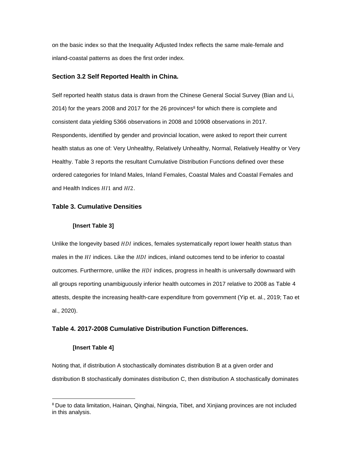on the basic index so that the Inequality Adjusted Index reflects the same male-female and inland-coastal patterns as does the first order index.

#### **Section 3.2 Self Reported Health in China.**

Self reported health status data is drawn from the Chinese General Social Survey (Bian and Li, 2014) for the years 2008 and 2017 for the 26 provinces<sup>8</sup> for which there is complete and consistent data yielding 5366 observations in 2008 and 10908 observations in 2017. Respondents, identified by gender and provincial location, were asked to report their current health status as one of: Very Unhealthy, Relatively Unhealthy, Normal, Relatively Healthy or Very Healthy. Table 3 reports the resultant Cumulative Distribution Functions defined over these ordered categories for Inland Males, Inland Females, Coastal Males and Coastal Females and and Health Indices H11 and H12.

#### **Table 3. Cumulative Densities**

#### **[Insert Table 3]**

Unlike the longevity based HDI indices, females systematically report lower health status than males in the  $HI$  indices. Like the  $HDI$  indices, inland outcomes tend to be inferior to coastal outcomes. Furthermore, unlike the  $HDI$  indices, progress in health is universally downward with all groups reporting unambiguously inferior health outcomes in 2017 relative to 2008 as Table 4 attests, despite the increasing health-care expenditure from government (Yip et. al., 2019; Tao et al., 2020).

#### **Table 4. 2017-2008 Cumulative Distribution Function Differences.**

#### **[Insert Table 4]**

Noting that, if distribution A stochastically dominates distribution B at a given order and distribution B stochastically dominates distribution C, then distribution A stochastically dominates

<sup>8</sup> Due to data limitation, Hainan, Qinghai, Ningxia, Tibet, and Xinjiang provinces are not included in this analysis.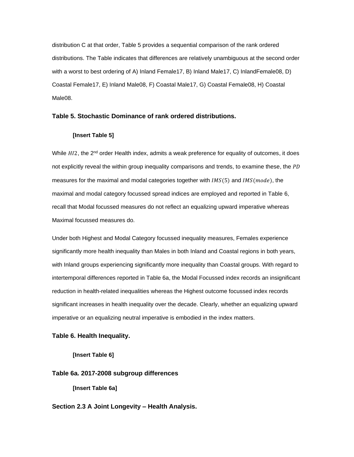distribution C at that order, Table 5 provides a sequential comparison of the rank ordered distributions. The Table indicates that differences are relatively unambiguous at the second order with a worst to best ordering of A) Inland Female17, B) Inland Male17, C) InlandFemale08, D) Coastal Female17, E) Inland Male08, F) Coastal Male17, G) Coastal Female08, H) Coastal Male<sub>08</sub>

#### **Table 5. Stochastic Dominance of rank ordered distributions.**

#### **[Insert Table 5]**

While  $H12$ , the 2<sup>nd</sup> order Health index, admits a weak preference for equality of outcomes, it does not explicitly reveal the within group inequality comparisons and trends, to examine these, the PD measures for the maximal and modal categories together with  $INS(5)$  and  $INS(model)$ , the maximal and modal category focussed spread indices are employed and reported in Table 6, recall that Modal focussed measures do not reflect an equalizing upward imperative whereas Maximal focussed measures do.

Under both Highest and Modal Category focussed inequality measures, Females experience significantly more health inequality than Males in both Inland and Coastal regions in both years, with Inland groups experiencing significantly more inequality than Coastal groups. With regard to intertemporal differences reported in Table 6a, the Modal Focussed index records an insignificant reduction in health-related inequalities whereas the Highest outcome focussed index records significant increases in health inequality over the decade. Clearly, whether an equalizing upward imperative or an equalizing neutral imperative is embodied in the index matters.

#### **Table 6. Health Inequality.**

#### **[Insert Table 6]**

#### **Table 6a. 2017-2008 subgroup differences**

**[Insert Table 6a]**

#### **Section 2.3 A Joint Longevity – Health Analysis.**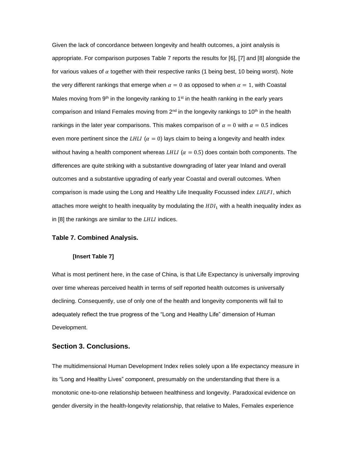Given the lack of concordance between longevity and health outcomes, a joint analysis is appropriate. For comparison purposes Table 7 reports the results for [6], [7] and [8] alongside the for various values of  $\alpha$  together with their respective ranks (1 being best, 10 being worst). Note the very different rankings that emerge when  $\alpha = 0$  as opposed to when  $\alpha = 1$ , with Coastal Males moving from 9<sup>th</sup> in the longevity ranking to 1<sup>st</sup> in the health ranking in the early years comparison and Inland Females moving from  $2<sup>nd</sup>$  in the longevity rankings to 10<sup>th</sup> in the health rankings in the later year comparisons. This makes comparison of  $\alpha = 0$  with  $\alpha = 0.5$  indices even more pertinent since the LHLI  $(\alpha = 0)$  lays claim to being a longevity and health index without having a health component whereas  $LHL$  ( $\alpha = 0.5$ ) does contain both components. The differences are quite striking with a substantive downgrading of later year Inland and overall outcomes and a substantive upgrading of early year Coastal and overall outcomes. When comparison is made using the Long and Healthy Life Inequality Focussed index  $LHLFI$ , which attaches more weight to health inequality by modulating the  $HDI<sub>1</sub>$  with a health inequality index as in  $[8]$  the rankings are similar to the *LHLI* indices.

#### **Table 7. Combined Analysis.**

#### **[Insert Table 7]**

What is most pertinent here, in the case of China, is that Life Expectancy is universally improving over time whereas perceived health in terms of self reported health outcomes is universally declining. Consequently, use of only one of the health and longevity components will fail to adequately reflect the true progress of the "Long and Healthy Life" dimension of Human Development.

#### **Section 3. Conclusions.**

The multidimensional Human Development Index relies solely upon a life expectancy measure in its "Long and Healthy Lives" component, presumably on the understanding that there is a monotonic one-to-one relationship between healthiness and longevity. Paradoxical evidence on gender diversity in the health-longevity relationship, that relative to Males, Females experience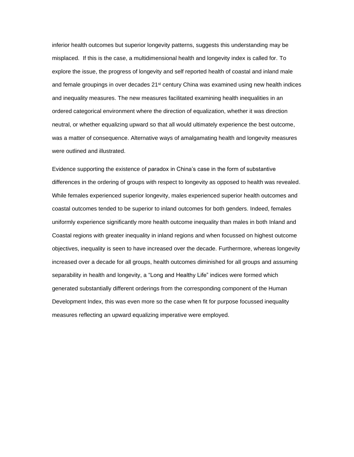inferior health outcomes but superior longevity patterns, suggests this understanding may be misplaced. If this is the case, a multidimensional health and longevity index is called for. To explore the issue, the progress of longevity and self reported health of coastal and inland male and female groupings in over decades  $21^{st}$  century China was examined using new health indices and inequality measures. The new measures facilitated examining health inequalities in an ordered categorical environment where the direction of equalization, whether it was direction neutral, or whether equalizing upward so that all would ultimately experience the best outcome, was a matter of consequence. Alternative ways of amalgamating health and longevity measures were outlined and illustrated.

Evidence supporting the existence of paradox in China's case in the form of substantive differences in the ordering of groups with respect to longevity as opposed to health was revealed. While females experienced superior longevity, males experienced superior health outcomes and coastal outcomes tended to be superior to inland outcomes for both genders. Indeed, females uniformly experience significantly more health outcome inequality than males in both Inland and Coastal regions with greater inequality in inland regions and when focussed on highest outcome objectives, inequality is seen to have increased over the decade. Furthermore, whereas longevity increased over a decade for all groups, health outcomes diminished for all groups and assuming separability in health and longevity, a "Long and Healthy Life" indices were formed which generated substantially different orderings from the corresponding component of the Human Development Index, this was even more so the case when fit for purpose focussed inequality measures reflecting an upward equalizing imperative were employed.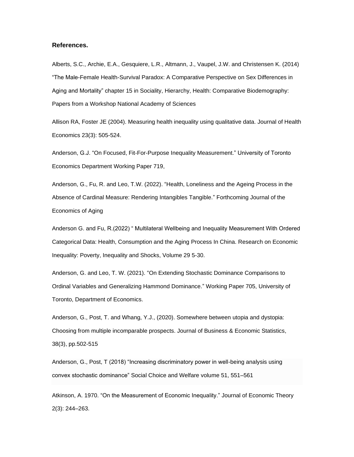#### **References.**

Alberts, S.C., Archie, E.A., Gesquiere, L.R., Altmann, J., Vaupel, J.W. and Christensen K. (2014) "The Male-Female Health-Survival Paradox: A Comparative Perspective on Sex Differences in Aging and Mortality" chapter 15 in Sociality, Hierarchy, Health: Comparative Biodemography: Papers from a Workshop National Academy of Sciences

Allison RA, Foster JE (2004). Measuring health inequality using qualitative data. Journal of Health Economics 23(3): 505-524.

Anderson, G.J. ["On Focused, Fit-For-Purpose Inequality Measurement."](https://www.economics.utoronto.ca/index.php/index/research/workingPaperDetails/719) University of Toronto Economics Department Working Paper 719,

Anderson, G., Fu, R. and Leo, T.W. (2022). "Health, Loneliness and the Ageing Process in the Absence of Cardinal Measure: Rendering Intangibles Tangible." Forthcoming Journal of the Economics of Aging

Anderson G. and Fu, R.(2022) " Multilateral Wellbeing and Inequality Measurement With Ordered Categorical Data: Health, Consumption and the Aging Process In China. Research on Economic Inequality: Poverty, Inequality and Shocks, Volume 29 5-30.

Anderson, G. and Leo, T. W. (2021). "On Extending Stochastic Dominance Comparisons to Ordinal Variables and Generalizing Hammond Dominance." Working Paper 705, University of Toronto, Department of Economics.

Anderson, G., Post, T. and Whang, Y.J., (2020). Somewhere between utopia and dystopia: Choosing from multiple incomparable prospects. Journal of Business & Economic Statistics, 38(3), pp.502-515

Anderson, G., Post, T (2018) "Increasing discriminatory power in well-being analysis using convex stochastic dominance" [Social Choice and Welfare](https://link.springer.com/journal/355) volume 51, 551–561

Atkinson, A. 1970. "On the Measurement of Economic Inequality." Journal of Economic Theory 2(3): 244–263.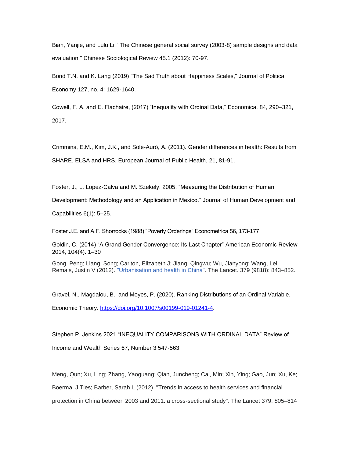Bian, Yanjie, and Lulu Li. "The Chinese general social survey (2003-8) sample designs and data evaluation." Chinese Sociological Review 45.1 (2012): 70-97.

Bond T.N. and K. Lang (2019) "The Sad Truth about Happiness Scales," Journal of Political Economy 127, no. 4: 1629-1640.

Cowell, F. A. and E. Flachaire, (2017) "Inequality with Ordinal Data," Economica, 84, 290–321, 2017.

Crimmins, E.M., Kim, J.K., and Solé-Auró, A. (2011). Gender differences in health: Results from SHARE, ELSA and HRS. European Journal of Public Health, 21, 81-91.

Foster, J., L. Lopez-Calva and M. Szekely. 2005. "Measuring the Distribution of Human

Development: Methodology and an Application in Mexico." Journal of Human Development and

Capabilities 6(1): 5–25.

Foster J.E. and A.F. Shorrocks (1988) "Poverty Orderings" Econometric[a 56,](https://www.jstor.org/stable/i332702?refreqid=excelsior%3A5b7665db9473ba67463a28be289c98d8) 173-177

Goldin, C. (2014) "A Grand Gender Convergence: Its Last Chapter" American Economic Review 2014, 104(4): 1–30

Gong, Peng; Liang, Song; Carlton, Elizabeth J; Jiang, Qingwu; Wu, Jianyong; Wang, Lei; Remais, Justin V (2012). ["Urbanisation and health in China".](https://www.ncbi.nlm.nih.gov/pmc/articles/PMC3733467) The Lancet. 379 (9818): 843–852.

Gravel, N., Magdalou, B., and Moyes, P. (2020). Ranking Distributions of an Ordinal Variable. Economic Theory. [https://doi.org/10.1007/s00199-019-01241-4.](https://doi.org/10.1007/s00199-019-01241-4)

Stephen P. Jenkins 2021 "INEQUALITY COMPARISONS WITH ORDINAL DATA" Review of Income and Wealth Series 67, Number 3 547-563

Meng, Qun; Xu, Ling; Zhang, Yaoguang; Qian, Juncheng; Cai, Min; Xin, Ying; Gao, Jun; Xu, Ke; Boerma, J Ties; Barber, Sarah L (2012). "Trends in access to health services and financial protection in China between 2003 and 2011: a cross-sectional study". The Lancet 379: 805–814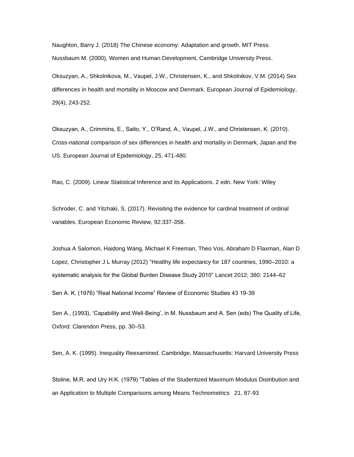Naughton, Barry J. (2018) The Chinese economy: Adaptation and growth. MIT Press. Nussbaum M. (2000), Women and Human Development, Cambridge University Press.

Oksuzyan, A., Shkolnikova, M., Vaupel, J.W., Christensen, K., and Shkolnikov, V.M. (2014) Sex differences in health and mortality in Moscow and Denmark. European Journal of Epidemiology, 29(4), 243-252.

Oksuzyan, A., Crimmins, E., Saito, Y., O'Rand, A., Vaupel, J.W., and Christensen, K. (2010). Cross-national comparison of sex differences in health and mortality in Denmark, Japan and the US. European Journal of Epidemiology, 25, 471-480.

Rao, C. (2009). Linear Statistical Inference and its Applications. 2 edn. New York: Wiley

Schroder, C. and Yitzhaki, S. (2017). Revisiting the evidence for cardinal treatment of ordinal variables. European Economic Review, 92:337-358.

Joshua A Salomon, Haidong Wang, Michael K Freeman, Theo Vos, Abraham D Flaxman, Alan D Lopez, Christopher J L Murray (2012) "Healthy life expectancy for 187 countries, 1990–2010: a systematic analysis for the Global Burden Disease Study 2010" Lancet 2012; 380: 2144–62

Sen A. K. (1976) "Real National Income" Review of Economic Studies 43 19-39

Sen A., (1993), 'Capability and Well-Being', in M. Nussbaum and A. Sen (eds) The Quality of Life, Oxford: Clarendon Press, pp. 30–53.

Sen, A. K. (1995). Inequality Reexamined. Cambridge, Massachusetts: Harvard University Press

Stoline, M.R. and Ury H.K. (1979) "Tables of the Studentized Maximum Modulus Distribution and an Application to Multiple Comparisons among Means Technometrics 21, 87-93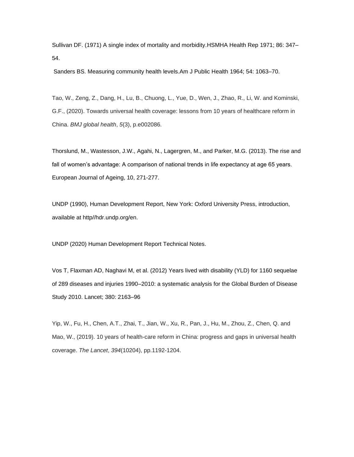Sullivan DF. (1971) A single index of mortality and morbidity.HSMHA Health Rep 1971; 86: 347– 54.

Sanders BS. Measuring community health levels.Am J Public Health 1964; 54: 1063–70.

Tao, W., Zeng, Z., Dang, H., Lu, B., Chuong, L., Yue, D., Wen, J., Zhao, R., Li, W. and Kominski, G.F., (2020). Towards universal health coverage: lessons from 10 years of healthcare reform in China. *BMJ global health*, *5*(3), p.e002086.

Thorslund, M., Wastesson, J.W., Agahi, N., Lagergren, M., and Parker, M.G. (2013). The rise and fall of women's advantage: A comparison of national trends in life expectancy at age 65 years. European Journal of Ageing, 10, 271-277.

UNDP (1990), Human Development Report, New York: Oxford University Press, introduction, available at http//hdr.undp.org/en.

UNDP (2020) Human Development Report Technical Notes.

Vos T, Flaxman AD, Naghavi M, et al. (2012) Years lived with disability (YLD) for 1160 sequelae of 289 diseases and injuries 1990–2010: a systematic analysis for the Global Burden of Disease Study 2010. Lancet; 380: 2163–96

Yip, W., Fu, H., Chen, A.T., Zhai, T., Jian, W., Xu, R., Pan, J., Hu, M., Zhou, Z., Chen, Q. and Mao, W., (2019). 10 years of health-care reform in China: progress and gaps in universal health coverage. *The Lancet*, *394*(10204), pp.1192-1204.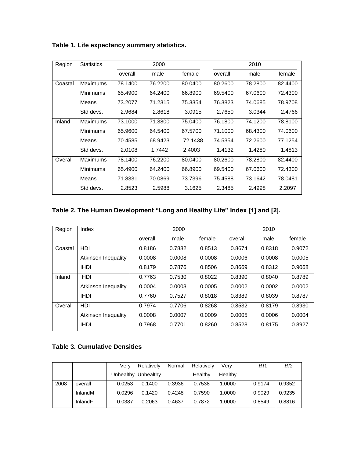| Region  | <b>Statistics</b> |         | 2000    |         |         | 2010    |         |
|---------|-------------------|---------|---------|---------|---------|---------|---------|
|         |                   | overall | male    | female  | overall | male    | female  |
| Coastal | Maximums          | 78.1400 | 76.2200 | 80.0400 | 80.2600 | 78.2800 | 82.4400 |
|         | <b>Minimums</b>   | 65.4900 | 64.2400 | 66.8900 | 69.5400 | 67.0600 | 72.4300 |
|         | Means             | 73.2077 | 71.2315 | 75.3354 | 76.3823 | 74.0685 | 78.9708 |
|         | Std devs.         | 2.9684  | 2.8618  | 3.0915  | 2.7650  | 3.0344  | 2.4766  |
| Inland  | <b>Maximums</b>   | 73.1000 | 71.3800 | 75.0400 | 76.1800 | 74.1200 | 78.8100 |
|         | <b>Minimums</b>   | 65.9600 | 64.5400 | 67.5700 | 71.1000 | 68.4300 | 74.0600 |
|         | Means             | 70.4585 | 68.9423 | 72.1438 | 74.5354 | 72.2600 | 77.1254 |
|         | Std devs.         | 2.0108  | 1.7442  | 2.4003  | 1.4132  | 1.4280  | 1.4813  |
| Overall | Maximums          | 78.1400 | 76.2200 | 80.0400 | 80.2600 | 78.2800 | 82.4400 |
|         | <b>Minimums</b>   | 65.4900 | 64.2400 | 66.8900 | 69.5400 | 67.0600 | 72.4300 |
|         | Means             | 71.8331 | 70.0869 | 73.7396 | 75.4588 | 73.1642 | 78.0481 |
|         | Std devs.         | 2.8523  | 2.5988  | 3.1625  | 2.3485  | 2.4998  | 2.2097  |

**Table 1. Life expectancy summary statistics.** 

# **Table 2. The Human Development "Long and Healthy Life" Index [1] and [2].**

| Region  | Index               |         | 2000   |        |         | 2010   |        |
|---------|---------------------|---------|--------|--------|---------|--------|--------|
|         |                     | overall | male   | female | overall | male   | female |
| Coastal | HDI                 | 0.8186  | 0.7882 | 0.8513 | 0.8674  | 0.8318 | 0.9072 |
|         | Atkinson Inequality | 0.0008  | 0.0008 | 0.0008 | 0.0006  | 0.0008 | 0.0005 |
|         | <b>IHDI</b>         | 0.8179  | 0.7876 | 0.8506 | 0.8669  | 0.8312 | 0.9068 |
| Inland  | HDI                 | 0.7763  | 0.7530 | 0.8022 | 0.8390  | 0.8040 | 0.8789 |
|         | Atkinson Inequality | 0.0004  | 0.0003 | 0.0005 | 0.0002  | 0.0002 | 0.0002 |
|         | <b>IHDI</b>         | 0.7760  | 0.7527 | 0.8018 | 0.8389  | 0.8039 | 0.8787 |
| Overall | HDI                 | 0.7974  | 0.7706 | 0.8268 | 0.8532  | 0.8179 | 0.8930 |
|         | Atkinson Inequality | 0.0008  | 0.0007 | 0.0009 | 0.0005  | 0.0006 | 0.0004 |
|         | <b>IHDI</b>         | 0.7968  | 0.7701 | 0.8260 | 0.8528  | 0.8175 | 0.8927 |

# **Table 3. Cumulative Densities**

|      |         | Verv   | Relatively          | Normal | Relatively | Verv    | HI1    | HI2    |
|------|---------|--------|---------------------|--------|------------|---------|--------|--------|
|      |         |        | Unhealthy Unhealthy |        | Healthy    | Healthy |        |        |
| 2008 | overall | 0.0253 | 0.1400              | 0.3936 | 0.7538     | 1.0000  | 0.9174 | 0.9352 |
|      | InlandM | 0.0296 | 0.1420              | 0.4248 | 0.7590     | 1.0000  | 0.9029 | 0.9235 |
|      | InlandF | 0.0387 | 0.2063              | 0.4637 | 0.7872     | 1.0000  | 0.8549 | 0.8816 |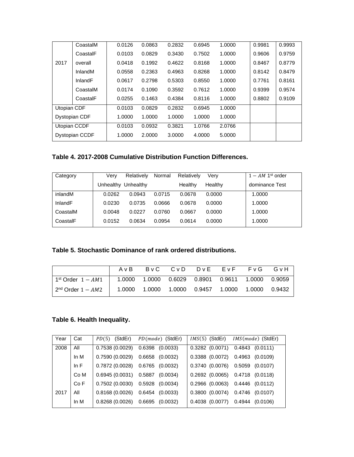|             | CoastalM              | 0.0126 | 0.0863 | 0.2832 | 0.6945 | 1.0000 | 0.9981 | 0.9993 |
|-------------|-----------------------|--------|--------|--------|--------|--------|--------|--------|
|             | CoastalF              | 0.0103 | 0.0829 | 0.3430 | 0.7502 | 1.0000 | 0.9606 | 0.9759 |
| 2017        | overall               | 0.0418 | 0.1992 | 0.4622 | 0.8168 | 1.0000 | 0.8467 | 0.8779 |
|             | InlandM               | 0.0558 | 0.2363 | 0.4963 | 0.8268 | 1.0000 | 0.8142 | 0.8479 |
|             | InlandF               | 0.0617 | 0.2798 | 0.5303 | 0.8550 | 1.0000 | 0.7761 | 0.8161 |
|             | CoastalM              | 0.0174 | 0.1090 | 0.3592 | 0.7612 | 1.0000 | 0.9399 | 0.9574 |
|             | CoastalF              | 0.0255 | 0.1463 | 0.4384 | 0.8116 | 1.0000 | 0.8802 | 0.9109 |
| Utopian CDF |                       | 0.0103 | 0.0829 | 0.2832 | 0.6945 | 1.0000 |        |        |
|             | <b>Dystopian CDF</b>  | 1.0000 | 1.0000 | 1.0000 | 1.0000 | 1.0000 |        |        |
|             | Utopian CCDF          | 0.0103 | 0.0932 | 0.3821 | 1.0766 | 2.0766 |        |        |
|             | <b>Dystopian CCDF</b> | 1.0000 | 2.0000 | 3.0000 | 4.0000 | 5.0000 |        |        |

# **Table 4. 2017-2008 Cumulative Distribution Function Differences.**

| Category | Verv   | Relatively          | Normal | Relatively | Verv    | $1 - AM$ 1 <sup>st</sup> order |
|----------|--------|---------------------|--------|------------|---------|--------------------------------|
|          |        | Unhealthy Unhealthy |        | Healthy    | Healthy | dominance Test                 |
| inlandM  | 0.0262 | 0.0943              | 0.0715 | 0.0678     | 0.0000  | 1.0000                         |
| InlandF  | 0.0230 | 0.0735              | 0.0666 | 0.0678     | 0.0000  | 1.0000                         |
| CoastalM | 0.0048 | 0.0227              | 0.0760 | 0.0667     | 0.0000  | 1.0000                         |
| CoastalF | 0.0152 | 0.0634              | 0.0954 | 0.0614     | 0.0000  | 1.0000                         |

## **Table 5. Stochastic Dominance of rank ordered distributions.**

|                                 | AvB                                                      | BVC CVD DVE EVF FVG GVH |  |  |
|---------------------------------|----------------------------------------------------------|-------------------------|--|--|
| 1 <sup>st</sup> Order $1 - AM1$ | $\vert$ 1.0000 1.0000 0.6029 0.8901 0.9611 1.0000 0.9059 |                         |  |  |
| 2 <sup>nd</sup> Order $1 - AM2$ |                                                          |                         |  |  |

# **Table 6. Health Inequality.**

| Year | Cat    | (StdEr)<br>PD(5) | <i>PD(mode)</i> (StdEr)           | $IMS(5)$ (StdEr) | <i>IMS(mode)</i> (StdEr)            |
|------|--------|------------------|-----------------------------------|------------------|-------------------------------------|
| 2008 | All    | 0.7538(0.0029)   | 0.6398 (0.0033)                   |                  | $0.3282$ (0.0071) $0.4843$ (0.0111) |
|      | In $M$ |                  | 0.7590 (0.0029) 0.6658 (0.0032)   |                  | 0.3388 (0.0072) 0.4963 (0.0109)     |
|      | In $F$ |                  | 0.7872 (0.0028) 0.6765 (0.0032)   |                  | 0.3740 (0.0076) 0.5059 (0.0107)     |
|      | Co M   |                  | 0.6945 (0.0031) 0.5887 (0.0034)   |                  | $0.2692$ (0.0065) $0.4718$ (0.0118) |
|      | CoF    |                  | 0.7502 (0.0030) 0.5928 (0.0034)   |                  | $0.2966$ (0.0063) $0.4446$ (0.0112) |
| 2017 | All    |                  | $0.8168(0.0026)$ $0.6454(0.0033)$ | 0.3800(0.0074)   | 0.4746 (0.0107)                     |
|      | In $M$ |                  | $0.8268(0.0026)$ $0.6695(0.0032)$ |                  | $0.4038$ (0.0077) $0.4944$ (0.0106) |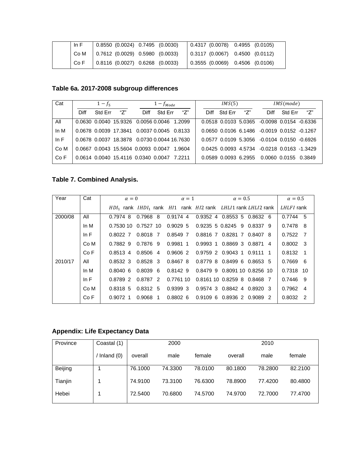| In F | (0.8550 (0.0024) 0.7495 (0.0030))       |  | $\vert$ 0.4317 (0.0078) 0.4955 (0.0105) |  |
|------|-----------------------------------------|--|-----------------------------------------|--|
| Co M | $0.7612$ (0.0029) 0.5980 (0.0033)       |  | $\vert$ 0.3117 (0.0067) 0.4500 (0.0112) |  |
| Co F | $\vert$ 0.8116 (0.0027) 0.6268 (0.0033) |  | $\vert$ 0.3555 (0.0069) 0.4506 (0.0106) |  |

# **Table 6a. 2017-2008 subgroup differences**

| Cat    |      | $1 - f_5$ |                                             |             | $1 - f_{Mode}$ |  |        | IMS(5)      |         |                                             |  | IMS(model) |                      |     |  |
|--------|------|-----------|---------------------------------------------|-------------|----------------|--|--------|-------------|---------|---------------------------------------------|--|------------|----------------------|-----|--|
|        | Diff | Std Frr   | "7"                                         | <b>Diff</b> | Std Frr        |  | "7"    | <b>Diff</b> | Std Err | "7"                                         |  | Diff       | Std Frr              | "7" |  |
| All    |      |           | 0.0630 0.0040 15.9326 0.0056 0.0046 1.2099  |             |                |  |        |             |         | 0.0518 0.0103 5.0365 -0.0098 0.0154 -0.6336 |  |            |                      |     |  |
| In $M$ |      |           | 0.0678 0.0039 17.3841 0.0037 0.0045 0.8133  |             |                |  |        |             |         | 0.0650 0.0106 6.1486 -0.0019 0.0152 -0.1267 |  |            |                      |     |  |
| In $F$ |      |           | 0.0678 0.0037 18.3878 0.0730 0.0044 16.7630 |             |                |  |        |             |         | 0.0577 0.0109 5.3056 -0.0104 0.0150 -0.6926 |  |            |                      |     |  |
| Co M   |      |           | 0.0667 0.0043 15.5604 0.0093 0.0047         |             |                |  | 1.9604 |             |         | 0.0425 0.0093 4.5734 -0.0218 0.0163 -1.3429 |  |            |                      |     |  |
| Co F   |      |           | 0.0614 0.0040 15.4116 0.0340 0.0047 7.2211  |             |                |  |        |             |         | 0.0589 0.0093 6.2955                        |  |            | 0.0060 0.0155 0.3849 |     |  |

# **Table 7. Combined Analysis.**

| Year    | Cat    | $\alpha = 0$               | $\alpha = 1$ | $\alpha = 0.5$                                                                       | $\alpha = 0.5$   |
|---------|--------|----------------------------|--------------|--------------------------------------------------------------------------------------|------------------|
|         |        |                            |              | HDI <sub>1</sub> rank IHDI <sub>1</sub> rank HI1 rank HI2 rank LHLI1 rank LHLI2 rank | LHLFI rank       |
| 2000/08 | All    | -8<br>0.7968<br>0.79748    | $0.9174$ 4   | 0.9352 4 0.8553 5 0.8632 6                                                           | $0.7744$ 5       |
|         | In $M$ | 0.7530 10 0.7527 10        |              | $0.9029\,5$ $0.9235\,5\,0.8245\,9\,0.8337\,9$                                        | 0.7478 8         |
|         | In $F$ | 0.8022 7<br>0.8018 7       | 0.85497      | 0.8816 7 0.8281 7 0.8407 8                                                           | $0.7522$ 7       |
|         | Co M   | 0.7882 9<br>0.7876 9       | 0.9981 1     | 0.9993 1 0.8869 3 0.8871 4                                                           | $0.8002 \quad 3$ |
|         | Co F   | 0.8513 4<br>0.8506 4       | 0.9606 2     | 0.9759 2 0.9043 1 0.9111 1                                                           | $0.8132$ 1       |
| 2010/17 | All    | $0.8528$ 3<br>0.8532 3     | 0.8467 8     | 0.8779 8 0.8499 6 0.8653 5                                                           | $0.7669$ 6       |
|         | In $M$ | 0.80406<br>$0.8039$ 6      | 0.8142.9     | 0.8479 9 0.8091 10 0.8256 10                                                         | 0.7318 10        |
|         | In $F$ | 0.8789 2<br>0.8787 2       | 0.7761 10    | 0.8161 10 0.8259 8 0.8468 7                                                          | $0.7446$ 9       |
|         | Co M   | $0.8318\;5$<br>0.8312 5    | 0.9399 3     | 0.9574 3 0.8842 4 0.8920 3                                                           | 0.7962 4         |
|         | Co F   | $0.9072$ 1<br>0.9068<br>-1 |              | $0.8802 \, 6$ 0.9109 6 0.8936 2 0.9089 2                                             | $0.8032$ 2       |

# **Appendix: Life Expectancy Data**

| Province | Coastal (1) |         | 2000    |         |         | 2010    |         |
|----------|-------------|---------|---------|---------|---------|---------|---------|
|          | Inland (0)  | overall | male    | female  | overall | male    | female  |
| Beijing  |             | 76.1000 | 74.3300 | 78.0100 | 80.1800 | 78.2800 | 82.2100 |
| Tianjin  |             | 74.9100 | 73.3100 | 76.6300 | 78.8900 | 77.4200 | 80.4800 |
| Hebei    |             | 72.5400 | 70.6800 | 74.5700 | 74.9700 | 72.7000 | 77.4700 |